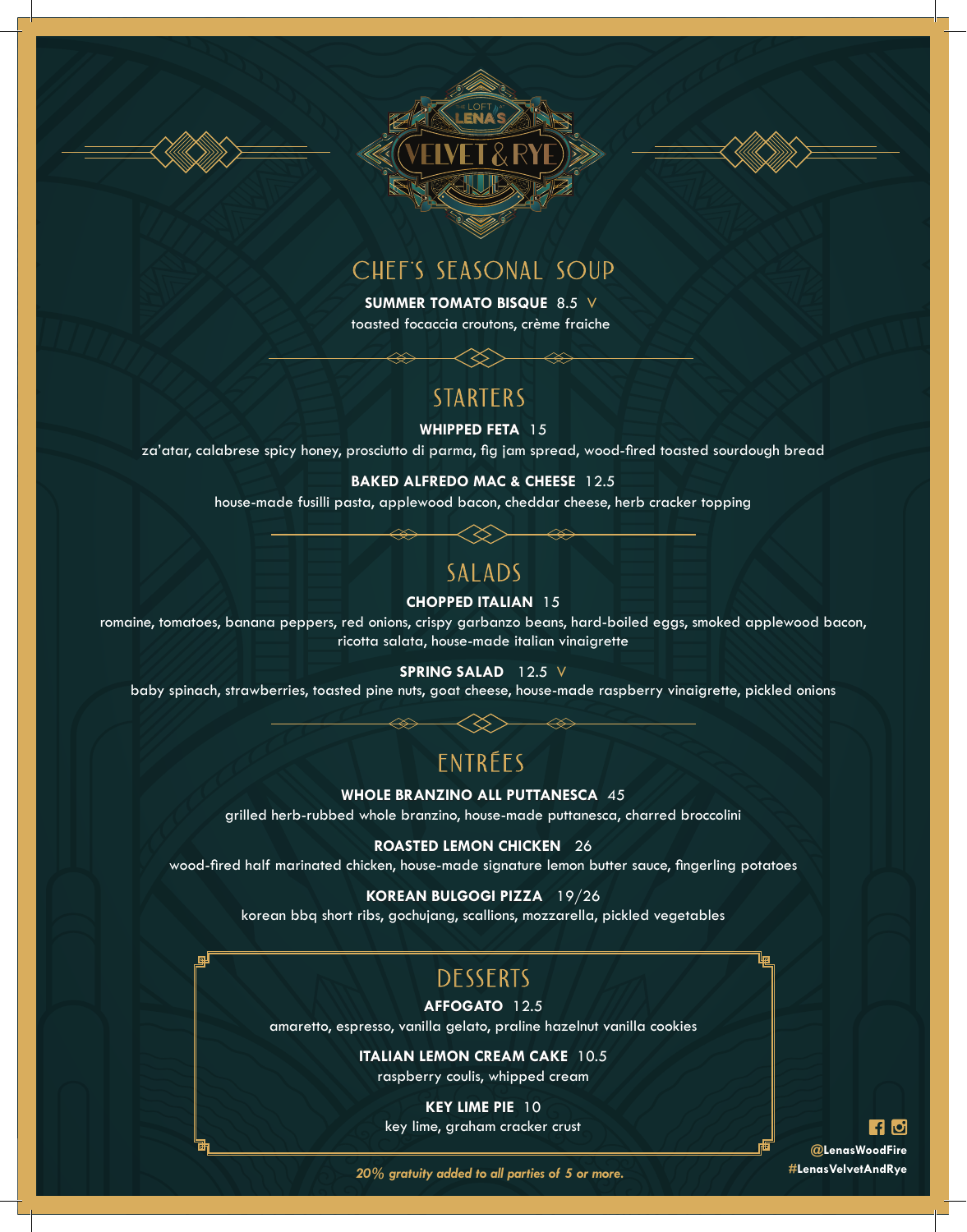





## CHEF'S SEASONAL SOUP

**SUMMER TOMATO BISQUE** 8.5 V toasted focaccia croutons, crème fraiche

## **STARTERS**

#### **WHIPPED FETA** 15

za'atar, calabrese spicy honey, prosciutto di parma, fig jam spread, wood-fired toasted sourdough bread

#### **BAKED ALFREDO MAC & CHEESE** 12.5

house-made fusilli pasta, applewood bacon, cheddar cheese, herb cracker topping

## **SALADS**

#### **CHOPPED ITALIAN** 15

romaine, tomatoes, banana peppers, red onions, crispy garbanzo beans, hard-boiled eggs, smoked applewood bacon, ricotta salata, house-made italian vinaigrette

#### **SPRING SALAD** 12.5 V

baby spinach, strawberries, toasted pine nuts, goat cheese, house-made raspberry vinaigrette, pickled onions

## Entrées

#### **WHOLE BRANZINO ALL PUTTANESCA** 45

grilled herb-rubbed whole branzino, house-made puttanesca, charred broccolini

#### **ROASTED LEMON CHICKEN** 26

wood-fired half marinated chicken, house-made signature lemon butter sauce, fingerling potatoes

#### **KOREAN BULGOGI PIZZA** 19/26

korean bbq short ribs, gochujang, scallions, mozzarella, pickled vegetables

## **DESSERTS**

#### **AFFOGATO** 12.5

amaretto, espresso, vanilla gelato, praline hazelnut vanilla cookies

### **ITALIAN LEMON CREAM CAKE** 10.5

raspberry coulis, whipped cream

**KEY LIME PIE** 10 key lime, graham cracker crust

**FA 61 @LenasWoodFire #LenasVelvetAndRye**

*20% gratuity added to all parties of 5 or more.*